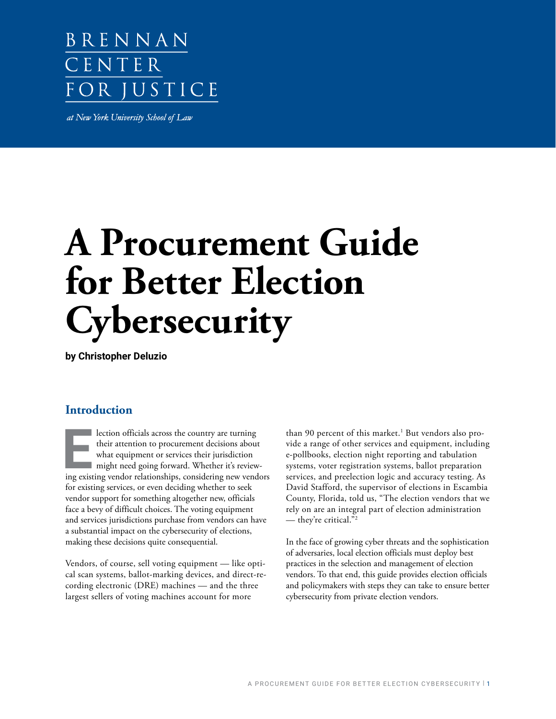# BRENNAN CENTER FOR JUSTICE

at New York University School of Law

# **A Procurement Guide for Better Election Cybersecurity**

**by Christopher Deluzio**

# **Introduction**

lection officials across the country are turning their attention to procurement decisions about what equipment or services their jurisdiction might need going forward. Whether it's reviewing existing vendor relationships, considering new vendors for existing services, or even deciding whether to seek vendor support for something altogether new, officials face a bevy of difficult choices. The voting equipment and services jurisdictions purchase from vendors can have a substantial impact on the cybersecurity of elections, making these decisions quite consequential.

Vendors, of course, sell voting equipment — like optical scan systems, ballot-marking devices, and direct-recording electronic (DRE) machines — and the three largest sellers of voting machines account for more

than 90 percent of this market.<sup>1</sup> But vendors also provide a range of other services and equipment, including e-pollbooks, election night reporting and tabulation systems, voter registration systems, ballot preparation services, and preelection logic and accuracy testing. As David Stafford, the supervisor of elections in Escambia County, Florida, told us, "The election vendors that we rely on are an integral part of election administration — they're critical."2

In the face of growing cyber threats and the sophistication of adversaries, local election officials must deploy best practices in the selection and management of election vendors. To that end, this guide provides election officials and policymakers with steps they can take to ensure better cybersecurity from private election vendors.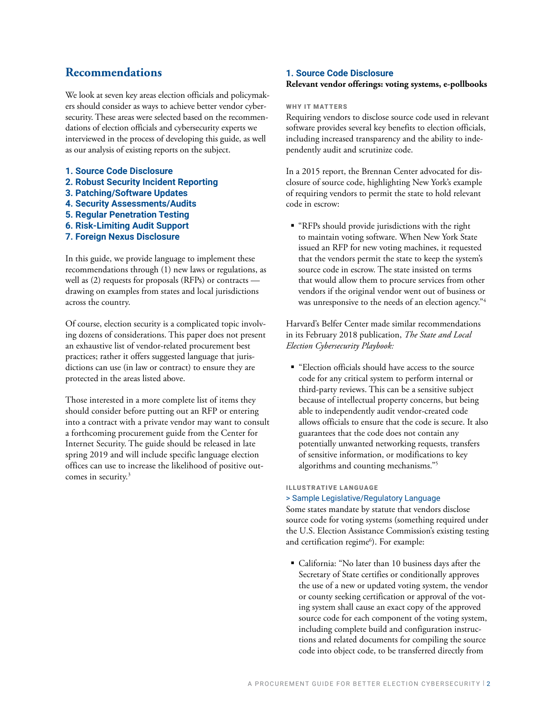# **Recommendations**

We look at seven key areas election officials and policymakers should consider as ways to achieve better vendor cybersecurity. These areas were selected based on the recommendations of election officials and cybersecurity experts we interviewed in the process of developing this guide, as well as our analysis of existing reports on the subject.

- **1. Source Code Disclosure**
- **2. Robust Security Incident Reporting**
- **3. Patching/Software Updates**
- **4. Security Assessments/Audits**
- **5. Regular Penetration Testing**
- **6. Risk-Limiting Audit Support**
- **7. Foreign Nexus Disclosure**

In this guide, we provide language to implement these recommendations through (1) new laws or regulations, as well as (2) requests for proposals (RFPs) or contracts drawing on examples from states and local jurisdictions across the country.

Of course, election security is a complicated topic involving dozens of considerations. This paper does not present an exhaustive list of vendor-related procurement best practices; rather it offers suggested language that jurisdictions can use (in law or contract) to ensure they are protected in the areas listed above.

Those interested in a more complete list of items they should consider before putting out an RFP or entering into a contract with a private vendor may want to consult a forthcoming procurement guide from the Center for Internet Security. The guide should be released in late spring 2019 and will include specific language election offices can use to increase the likelihood of positive outcomes in security.<sup>3</sup>

#### **1. Source Code Disclosure**

#### **Relevant vendor offerings: voting systems, e-pollbooks**

#### WHY IT MATTERS

Requiring vendors to disclose source code used in relevant software provides several key benefits to election officials, including increased transparency and the ability to independently audit and scrutinize code.

In a 2015 report, the Brennan Center advocated for disclosure of source code, highlighting New York's example of requiring vendors to permit the state to hold relevant code in escrow:

 "RFPs should provide jurisdictions with the right to maintain voting software. When New York State issued an RFP for new voting machines, it requested that the vendors permit the state to keep the system's source code in escrow. The state insisted on terms that would allow them to procure services from other vendors if the original vendor went out of business or was unresponsive to the needs of an election agency."<sup>4</sup>

Harvard's Belfer Center made similar recommendations in its February 2018 publication, *The State and Local Election Cybersecurity Playbook:*

■ "Election officials should have access to the source" code for any critical system to perform internal or third-party reviews. This can be a sensitive subject because of intellectual property concerns, but being able to independently audit vendor-created code allows officials to ensure that the code is secure. It also guarantees that the code does not contain any potentially unwanted networking requests, transfers of sensitive information, or modifications to key algorithms and counting mechanisms."5

#### ILLUSTRATIVE LANGUAGE

#### > Sample Legislative/Regulatory Language

Some states mandate by statute that vendors disclose source code for voting systems (something required under the U.S. Election Assistance Commission's existing testing and certification regime<sup>6</sup>). For example:

 California: "No later than 10 business days after the Secretary of State certifies or conditionally approves the use of a new or updated voting system, the vendor or county seeking certification or approval of the voting system shall cause an exact copy of the approved source code for each component of the voting system, including complete build and configuration instructions and related documents for compiling the source code into object code, to be transferred directly from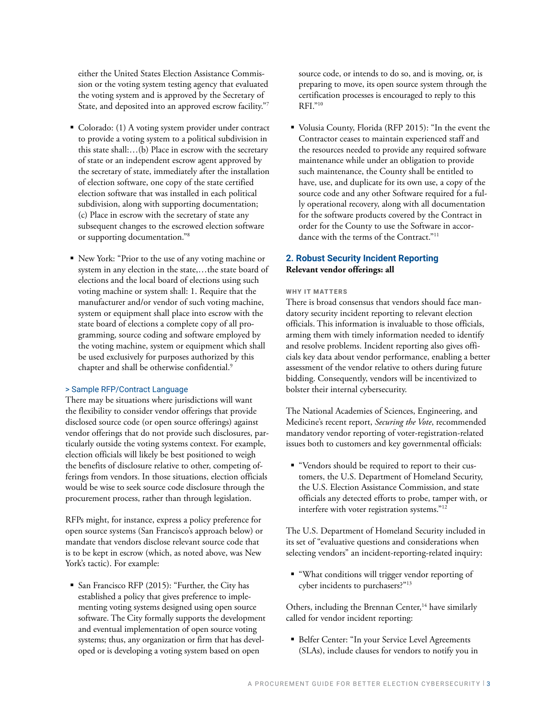either the United States Election Assistance Commission or the voting system testing agency that evaluated the voting system and is approved by the Secretary of State, and deposited into an approved escrow facility."7

- Colorado: (1) A voting system provider under contract to provide a voting system to a political subdivision in this state shall:…(b) Place in escrow with the secretary of state or an independent escrow agent approved by the secretary of state, immediately after the installation of election software, one copy of the state certified election software that was installed in each political subdivision, along with supporting documentation; (c) Place in escrow with the secretary of state any subsequent changes to the escrowed election software or supporting documentation."8
- New York: "Prior to the use of any voting machine or system in any election in the state,…the state board of elections and the local board of elections using such voting machine or system shall: 1. Require that the manufacturer and/or vendor of such voting machine, system or equipment shall place into escrow with the state board of elections a complete copy of all programming, source coding and software employed by the voting machine, system or equipment which shall be used exclusively for purposes authorized by this chapter and shall be otherwise confidential.<sup>9</sup>

#### > Sample RFP/Contract Language

There may be situations where jurisdictions will want the flexibility to consider vendor offerings that provide disclosed source code (or open source offerings) against vendor offerings that do not provide such disclosures, particularly outside the voting systems context. For example, election officials will likely be best positioned to weigh the benefits of disclosure relative to other, competing offerings from vendors. In those situations, election officials would be wise to seek source code disclosure through the procurement process, rather than through legislation.

RFPs might, for instance, express a policy preference for open source systems (San Francisco's approach below) or mandate that vendors disclose relevant source code that is to be kept in escrow (which, as noted above, was New York's tactic). For example:

 San Francisco RFP (2015): "Further, the City has established a policy that gives preference to implementing voting systems designed using open source software. The City formally supports the development and eventual implementation of open source voting systems; thus, any organization or firm that has developed or is developing a voting system based on open

source code, or intends to do so, and is moving, or, is preparing to move, its open source system through the certification processes is encouraged to reply to this RFI."10

 Volusia County, Florida (RFP 2015): "In the event the Contractor ceases to maintain experienced staff and the resources needed to provide any required software maintenance while under an obligation to provide such maintenance, the County shall be entitled to have, use, and duplicate for its own use, a copy of the source code and any other Software required for a fully operational recovery, along with all documentation for the software products covered by the Contract in order for the County to use the Software in accordance with the terms of the Contract."11

#### **2. Robust Security Incident Reporting Relevant vendor offerings: all**

#### WHY IT MATTERS

There is broad consensus that vendors should face mandatory security incident reporting to relevant election officials. This information is invaluable to those officials, arming them with timely information needed to identify and resolve problems. Incident reporting also gives officials key data about vendor performance, enabling a better assessment of the vendor relative to others during future bidding. Consequently, vendors will be incentivized to bolster their internal cybersecurity.

The National Academies of Sciences, Engineering, and Medicine's recent report, *Securing the Vote*, recommended mandatory vendor reporting of voter-registration-related issues both to customers and key governmental officials:

 "Vendors should be required to report to their customers, the U.S. Department of Homeland Security, the U.S. Election Assistance Commission, and state officials any detected efforts to probe, tamper with, or interfere with voter registration systems."12

The U.S. Department of Homeland Security included in its set of "evaluative questions and considerations when selecting vendors" an incident-reporting-related inquiry:

 "What conditions will trigger vendor reporting of cyber incidents to purchasers?"13

Others, including the Brennan Center,<sup>14</sup> have similarly called for vendor incident reporting:

 Belfer Center: "In your Service Level Agreements (SLAs), include clauses for vendors to notify you in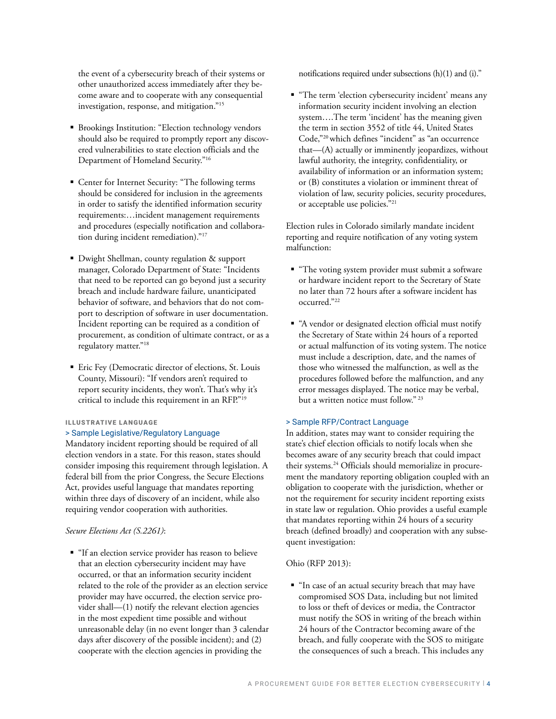the event of a cybersecurity breach of their systems or other unauthorized access immediately after they become aware and to cooperate with any consequential investigation, response, and mitigation."15

- **Brookings Institution: "Election technology vendors** should also be required to promptly report any discovered vulnerabilities to state election officials and the Department of Homeland Security."16
- Center for Internet Security: "The following terms should be considered for inclusion in the agreements in order to satisfy the identified information security requirements:…incident management requirements and procedures (especially notification and collaboration during incident remediation)."17
- Dwight Shellman, county regulation & support manager, Colorado Department of State: "Incidents that need to be reported can go beyond just a security breach and include hardware failure, unanticipated behavior of software, and behaviors that do not comport to description of software in user documentation. Incident reporting can be required as a condition of procurement, as condition of ultimate contract, or as a regulatory matter."18
- **Einc Fey (Democratic director of elections, St. Louis** County, Missouri): "If vendors aren't required to report security incidents, they won't. That's why it's critical to include this requirement in an RFP."19

#### ILLUSTRATIVE LANGUAGE

#### > Sample Legislative/Regulatory Language

Mandatory incident reporting should be required of all election vendors in a state. For this reason, states should consider imposing this requirement through legislation. A federal bill from the prior Congress, the Secure Elections Act, provides useful language that mandates reporting within three days of discovery of an incident, while also requiring vendor cooperation with authorities.

#### *Secure Elections Act (S.2261)*:

 "If an election service provider has reason to believe that an election cybersecurity incident may have occurred, or that an information security incident related to the role of the provider as an election service provider may have occurred, the election service provider shall—(1) notify the relevant election agencies in the most expedient time possible and without unreasonable delay (in no event longer than 3 calendar days after discovery of the possible incident); and (2) cooperate with the election agencies in providing the

notifications required under subsections (h)(1) and (i)."

 "The term 'election cybersecurity incident' means any information security incident involving an election system….The term 'incident' has the meaning given the term in section 3552 of title 44, United States Code,"20 which defines "incident" as "an occurrence that—(A) actually or imminently jeopardizes, without lawful authority, the integrity, confidentiality, or availability of information or an information system; or (B) constitutes a violation or imminent threat of violation of law, security policies, security procedures, or acceptable use policies."21

Election rules in Colorado similarly mandate incident reporting and require notification of any voting system malfunction:

- "The voting system provider must submit a software or hardware incident report to the Secretary of State no later than 72 hours after a software incident has occurred."22
- "A vendor or designated election official must notify the Secretary of State within 24 hours of a reported or actual malfunction of its voting system. The notice must include a description, date, and the names of those who witnessed the malfunction, as well as the procedures followed before the malfunction, and any error messages displayed. The notice may be verbal, but a written notice must follow." 23

#### > Sample RFP/Contract Language

In addition, states may want to consider requiring the state's chief election officials to notify locals when she becomes aware of any security breach that could impact their systems.24 Officials should memorialize in procurement the mandatory reporting obligation coupled with an obligation to cooperate with the jurisdiction, whether or not the requirement for security incident reporting exists in state law or regulation. Ohio provides a useful example that mandates reporting within 24 hours of a security breach (defined broadly) and cooperation with any subsequent investigation:

#### Ohio (RFP 2013):

 "In case of an actual security breach that may have compromised SOS Data, including but not limited to loss or theft of devices or media, the Contractor must notify the SOS in writing of the breach within 24 hours of the Contractor becoming aware of the breach, and fully cooperate with the SOS to mitigate the consequences of such a breach. This includes any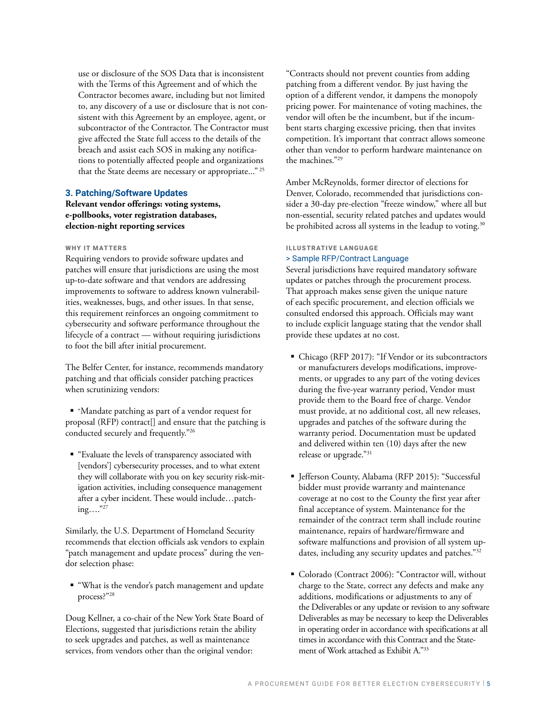use or disclosure of the SOS Data that is inconsistent with the Terms of this Agreement and of which the Contractor becomes aware, including but not limited to, any discovery of a use or disclosure that is not consistent with this Agreement by an employee, agent, or subcontractor of the Contractor. The Contractor must give affected the State full access to the details of the breach and assist each SOS in making any notifications to potentially affected people and organizations that the State deems are necessary or appropriate..." 25

#### **3. Patching/Software Updates**

**Relevant vendor offerings: voting systems, e-pollbooks, voter registration databases, election-night reporting services**

#### WHY IT MATTERS

Requiring vendors to provide software updates and patches will ensure that jurisdictions are using the most up-to-date software and that vendors are addressing improvements to software to address known vulnerabilities, weaknesses, bugs, and other issues. In that sense, this requirement reinforces an ongoing commitment to cybersecurity and software performance throughout the lifecycle of a contract — without requiring jurisdictions to foot the bill after initial procurement.

The Belfer Center, for instance, recommends mandatory patching and that officials consider patching practices when scrutinizing vendors:

 "Mandate patching as part of a vendor request for proposal (RFP) contract[] and ensure that the patching is conducted securely and frequently."26

 "Evaluate the levels of transparency associated with [vendors'] cybersecurity processes, and to what extent they will collaborate with you on key security risk-mitigation activities, including consequence management after a cyber incident. These would include…patching…."27

Similarly, the U.S. Department of Homeland Security recommends that election officials ask vendors to explain "patch management and update process" during the vendor selection phase:

 "What is the vendor's patch management and update process?"28

Doug Kellner, a co-chair of the New York State Board of Elections, suggested that jurisdictions retain the ability to seek upgrades and patches, as well as maintenance services, from vendors other than the original vendor:

"Contracts should not prevent counties from adding patching from a different vendor. By just having the option of a different vendor, it dampens the monopoly pricing power. For maintenance of voting machines, the vendor will often be the incumbent, but if the incumbent starts charging excessive pricing, then that invites competition. It's important that contract allows someone other than vendor to perform hardware maintenance on the machines."29

Amber McReynolds, former director of elections for Denver, Colorado, recommended that jurisdictions consider a 30-day pre-election "freeze window," where all but non-essential, security related patches and updates would be prohibited across all systems in the leadup to voting.<sup>30</sup>

# ILLUSTRATIVE LANGUAGE

#### > Sample RFP/Contract Language

Several jurisdictions have required mandatory software updates or patches through the procurement process. That approach makes sense given the unique nature of each specific procurement, and election officials we consulted endorsed this approach. Officials may want to include explicit language stating that the vendor shall provide these updates at no cost.

- Chicago (RFP 2017): "If Vendor or its subcontractors or manufacturers develops modifications, improvements, or upgrades to any part of the voting devices during the five-year warranty period, Vendor must provide them to the Board free of charge. Vendor must provide, at no additional cost, all new releases, upgrades and patches of the software during the warranty period. Documentation must be updated and delivered within ten (10) days after the new release or upgrade."31
- Jefferson County, Alabama (RFP 2015): "Successful bidder must provide warranty and maintenance coverage at no cost to the County the first year after final acceptance of system. Maintenance for the remainder of the contract term shall include routine maintenance, repairs of hardware/firmware and software malfunctions and provision of all system updates, including any security updates and patches."32
- Colorado (Contract 2006): "Contractor will, without charge to the State, correct any defects and make any additions, modifications or adjustments to any of the Deliverables or any update or revision to any software Deliverables as may be necessary to keep the Deliverables in operating order in accordance with specifications at all times in accordance with this Contract and the Statement of Work attached as Exhibit A."33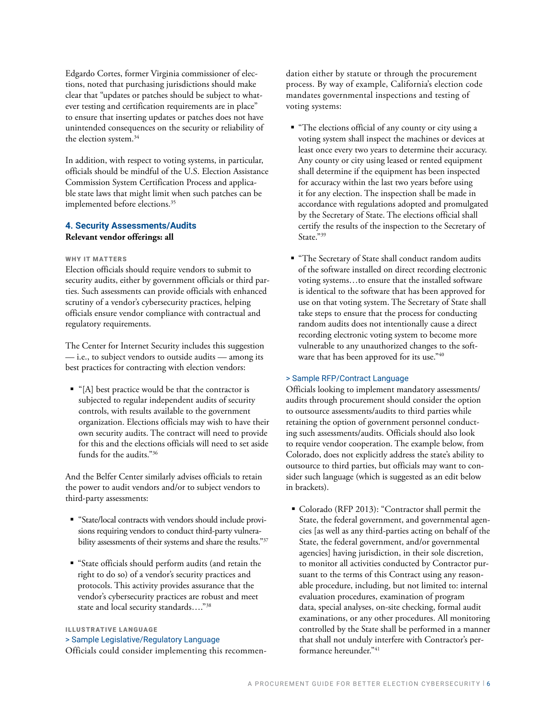Edgardo Cortes, former Virginia commissioner of elections, noted that purchasing jurisdictions should make clear that "updates or patches should be subject to whatever testing and certification requirements are in place" to ensure that inserting updates or patches does not have unintended consequences on the security or reliability of the election system.34

In addition, with respect to voting systems, in particular, officials should be mindful of the U.S. Election Assistance Commission System Certification Process and applicable state laws that might limit when such patches can be implemented before elections.<sup>35</sup>

#### **4. Security Assessments/Audits Relevant vendor offerings: all**

#### WHY IT MATTERS

Election officials should require vendors to submit to security audits, either by government officials or third parties. Such assessments can provide officials with enhanced scrutiny of a vendor's cybersecurity practices, helping officials ensure vendor compliance with contractual and regulatory requirements.

The Center for Internet Security includes this suggestion — i.e., to subject vendors to outside audits — among its best practices for contracting with election vendors:

 "[A] best practice would be that the contractor is subjected to regular independent audits of security controls, with results available to the government organization. Elections officials may wish to have their own security audits. The contract will need to provide for this and the elections officials will need to set aside funds for the audits."36

And the Belfer Center similarly advises officials to retain the power to audit vendors and/or to subject vendors to third-party assessments:

- "State/local contracts with vendors should include provisions requiring vendors to conduct third-party vulnerability assessments of their systems and share the results."37
- "State officials should perform audits (and retain the right to do so) of a vendor's security practices and protocols. This activity provides assurance that the vendor's cybersecurity practices are robust and meet state and local security standards…."38

ILLUSTRATIVE LANGUAGE

#### > Sample Legislative/Regulatory Language

Officials could consider implementing this recommen-

dation either by statute or through the procurement process. By way of example, California's election code mandates governmental inspections and testing of voting systems:

- "The elections official of any county or city using a voting system shall inspect the machines or devices at least once every two years to determine their accuracy. Any county or city using leased or rented equipment shall determine if the equipment has been inspected for accuracy within the last two years before using it for any election. The inspection shall be made in accordance with regulations adopted and promulgated by the Secretary of State. The elections official shall certify the results of the inspection to the Secretary of State."<sup>39</sup>
- "The Secretary of State shall conduct random audits of the software installed on direct recording electronic voting systems…to ensure that the installed software is identical to the software that has been approved for use on that voting system. The Secretary of State shall take steps to ensure that the process for conducting random audits does not intentionally cause a direct recording electronic voting system to become more vulnerable to any unauthorized changes to the software that has been approved for its use."40

#### > Sample RFP/Contract Language

Officials looking to implement mandatory assessments/ audits through procurement should consider the option to outsource assessments/audits to third parties while retaining the option of government personnel conducting such assessments/audits. Officials should also look to require vendor cooperation. The example below, from Colorado, does not explicitly address the state's ability to outsource to third parties, but officials may want to consider such language (which is suggested as an edit below in brackets).

 Colorado (RFP 2013): "Contractor shall permit the State, the federal government, and governmental agencies [as well as any third-parties acting on behalf of the State, the federal government, and/or governmental agencies] having jurisdiction, in their sole discretion, to monitor all activities conducted by Contractor pursuant to the terms of this Contract using any reasonable procedure, including, but not limited to: internal evaluation procedures, examination of program data, special analyses, on-site checking, formal audit examinations, or any other procedures. All monitoring controlled by the State shall be performed in a manner that shall not unduly interfere with Contractor's performance hereunder."41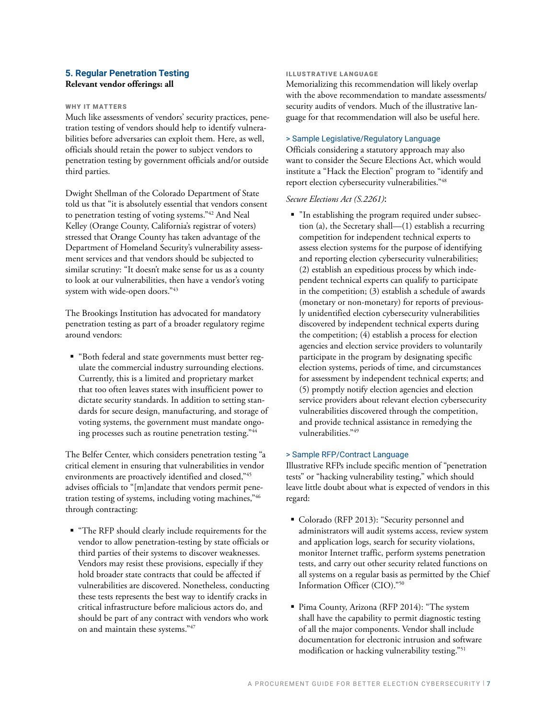#### **5. Regular Penetration Testing Relevant vendor offerings: all**

#### WHY IT MATTERS

Much like assessments of vendors' security practices, penetration testing of vendors should help to identify vulnerabilities before adversaries can exploit them. Here, as well, officials should retain the power to subject vendors to penetration testing by government officials and/or outside third parties.

Dwight Shellman of the Colorado Department of State told us that "it is absolutely essential that vendors consent to penetration testing of voting systems."42 And Neal Kelley (Orange County, California's registrar of voters) stressed that Orange County has taken advantage of the Department of Homeland Security's vulnerability assessment services and that vendors should be subjected to similar scrutiny: "It doesn't make sense for us as a county to look at our vulnerabilities, then have a vendor's voting system with wide-open doors."43

The Brookings Institution has advocated for mandatory penetration testing as part of a broader regulatory regime around vendors:

 "Both federal and state governments must better regulate the commercial industry surrounding elections. Currently, this is a limited and proprietary market that too often leaves states with insufficient power to dictate security standards. In addition to setting standards for secure design, manufacturing, and storage of voting systems, the government must mandate ongoing processes such as routine penetration testing."44

The Belfer Center, which considers penetration testing "a critical element in ensuring that vulnerabilities in vendor environments are proactively identified and closed,"45 advises officials to "[m]andate that vendors permit penetration testing of systems, including voting machines,"46 through contracting:

 "The RFP should clearly include requirements for the vendor to allow penetration-testing by state officials or third parties of their systems to discover weaknesses. Vendors may resist these provisions, especially if they hold broader state contracts that could be affected if vulnerabilities are discovered. Nonetheless, conducting these tests represents the best way to identify cracks in critical infrastructure before malicious actors do, and should be part of any contract with vendors who work on and maintain these systems."47

#### ILLUSTRATIVE LANGUAGE

Memorializing this recommendation will likely overlap with the above recommendation to mandate assessments/ security audits of vendors. Much of the illustrative language for that recommendation will also be useful here.

#### > Sample Legislative/Regulatory Language

Officials considering a statutory approach may also want to consider the Secure Elections Act, which would institute a "Hack the Election" program to "identify and report election cybersecurity vulnerabilities."48

#### *Secure Elections Act (S.2261)*:

 "In establishing the program required under subsection (a), the Secretary shall—(1) establish a recurring competition for independent technical experts to assess election systems for the purpose of identifying and reporting election cybersecurity vulnerabilities; (2) establish an expeditious process by which independent technical experts can qualify to participate in the competition; (3) establish a schedule of awards (monetary or non-monetary) for reports of previously unidentified election cybersecurity vulnerabilities discovered by independent technical experts during the competition; (4) establish a process for election agencies and election service providers to voluntarily participate in the program by designating specific election systems, periods of time, and circumstances for assessment by independent technical experts; and (5) promptly notify election agencies and election service providers about relevant election cybersecurity vulnerabilities discovered through the competition, and provide technical assistance in remedying the vulnerabilities."49

#### > Sample RFP/Contract Language

Illustrative RFPs include specific mention of "penetration tests" or "hacking vulnerability testing," which should leave little doubt about what is expected of vendors in this regard:

- Colorado (RFP 2013): "Security personnel and administrators will audit systems access, review system and application logs, search for security violations, monitor Internet traffic, perform systems penetration tests, and carry out other security related functions on all systems on a regular basis as permitted by the Chief Information Officer (CIO)."50
- Pima County, Arizona (RFP 2014): "The system shall have the capability to permit diagnostic testing of all the major components. Vendor shall include documentation for electronic intrusion and software modification or hacking vulnerability testing."51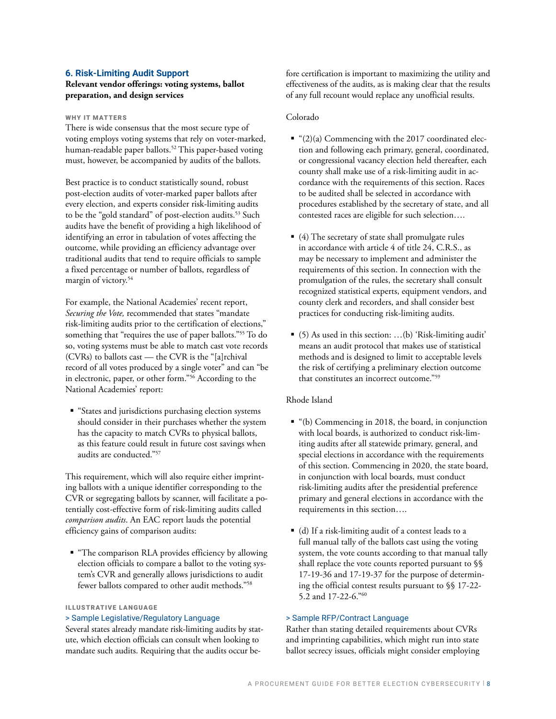#### **6. Risk-Limiting Audit Support**

#### **Relevant vendor offerings: voting systems, ballot preparation, and design services**

#### WHY IT MATTERS

There is wide consensus that the most secure type of voting employs voting systems that rely on voter-marked, human-readable paper ballots.<sup>52</sup> This paper-based voting must, however, be accompanied by audits of the ballots.

Best practice is to conduct statistically sound, robust post-election audits of voter-marked paper ballots after every election, and experts consider risk-limiting audits to be the "gold standard" of post-election audits.<sup>53</sup> Such audits have the benefit of providing a high likelihood of identifying an error in tabulation of votes affecting the outcome, while providing an efficiency advantage over traditional audits that tend to require officials to sample a fixed percentage or number of ballots, regardless of margin of victory.<sup>54</sup>

For example, the National Academies' recent report, *Securing the Vote,* recommended that states "mandate risk-limiting audits prior to the certification of elections," something that "requires the use of paper ballots."55 To do so, voting systems must be able to match cast vote records (CVRs) to ballots cast — the CVR is the "[a]rchival record of all votes produced by a single voter" and can "be in electronic, paper, or other form."56 According to the National Academies' report:

 "States and jurisdictions purchasing election systems should consider in their purchases whether the system has the capacity to match CVRs to physical ballots, as this feature could result in future cost savings when audits are conducted."57

This requirement, which will also require either imprinting ballots with a unique identifier corresponding to the CVR or segregating ballots by scanner, will facilitate a potentially cost-effective form of risk-limiting audits called *comparison audits*. An EAC report lauds the potential efficiency gains of comparison audits:

 "The comparison RLA provides efficiency by allowing election officials to compare a ballot to the voting system's CVR and generally allows jurisdictions to audit fewer ballots compared to other audit methods."58

#### ILLUSTRATIVE LANGUAGE

#### > Sample Legislative/Regulatory Language

Several states already mandate risk-limiting audits by statute, which election officials can consult when looking to mandate such audits. Requiring that the audits occur before certification is important to maximizing the utility and effectiveness of the audits, as is making clear that the results of any full recount would replace any unofficial results.

#### Colorado

- $\bullet$  "(2)(a) Commencing with the 2017 coordinated election and following each primary, general, coordinated, or congressional vacancy election held thereafter, each county shall make use of a risk-limiting audit in accordance with the requirements of this section. Races to be audited shall be selected in accordance with procedures established by the secretary of state, and all contested races are eligible for such selection….
- $(4)$  The secretary of state shall promulgate rules in accordance with article 4 of title 24, C.R.S., as may be necessary to implement and administer the requirements of this section. In connection with the promulgation of the rules, the secretary shall consult recognized statistical experts, equipment vendors, and county clerk and recorders, and shall consider best practices for conducting risk-limiting audits.
- (5) As used in this section: …(b) 'Risk-limiting audit' means an audit protocol that makes use of statistical methods and is designed to limit to acceptable levels the risk of certifying a preliminary election outcome that constitutes an incorrect outcome."59

#### Rhode Island

- "(b) Commencing in 2018, the board, in conjunction with local boards, is authorized to conduct risk-limiting audits after all statewide primary, general, and special elections in accordance with the requirements of this section. Commencing in 2020, the state board, in conjunction with local boards, must conduct risk-limiting audits after the presidential preference primary and general elections in accordance with the requirements in this section….
- (d) If a risk-limiting audit of a contest leads to a full manual tally of the ballots cast using the voting system, the vote counts according to that manual tally shall replace the vote counts reported pursuant to §§ 17-19-36 and 17-19-37 for the purpose of determining the official contest results pursuant to §§ 17-22- 5.2 and 17-22-6."60

#### > Sample RFP/Contract Language

Rather than stating detailed requirements about CVRs and imprinting capabilities, which might run into state ballot secrecy issues, officials might consider employing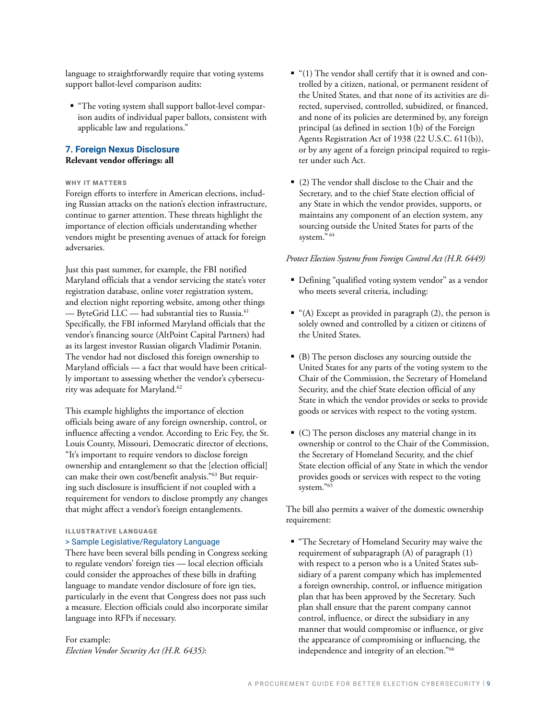language to straightforwardly require that voting systems support ballot-level comparison audits:

 "The voting system shall support ballot-level comparison audits of individual paper ballots, consistent with applicable law and regulations."

#### **7. Foreign Nexus Disclosure Relevant vendor offerings: all**

#### WHY IT MATTERS

Foreign efforts to interfere in American elections, including Russian attacks on the nation's election infrastructure, continue to garner attention. These threats highlight the importance of election officials understanding whether vendors might be presenting avenues of attack for foreign adversaries.

Just this past summer, for example, the FBI notified Maryland officials that a vendor servicing the state's voter registration database, online voter registration system, and election night reporting website, among other things — ByteGrid LLC — had substantial ties to Russia.61 Specifically, the FBI informed Maryland officials that the vendor's financing source (AltPoint Capital Partners) had as its largest investor Russian oligarch Vladimir Potanin. The vendor had not disclosed this foreign ownership to Maryland officials — a fact that would have been critically important to assessing whether the vendor's cybersecurity was adequate for Maryland.<sup>62</sup>

This example highlights the importance of election officials being aware of any foreign ownership, control, or influence affecting a vendor. According to Eric Fey, the St. Louis County, Missouri, Democratic director of elections, "It's important to require vendors to disclose foreign ownership and entanglement so that the [election official] can make their own cost/benefit analysis."63 But requiring such disclosure is insufficient if not coupled with a requirement for vendors to disclose promptly any changes that might affect a vendor's foreign entanglements.

#### ILLUSTRATIVE LANGUAGE

#### > Sample Legislative/Regulatory Language

There have been several bills pending in Congress seeking to regulate vendors' foreign ties — local election officials could consider the approaches of these bills in drafting language to mandate vendor disclosure of fore ign ties, particularly in the event that Congress does not pass such a measure. Election officials could also incorporate similar language into RFPs if necessary.

For example: *Election Vendor Security Act (H.R. 6435)*:

- $"$  (1) The vendor shall certify that it is owned and controlled by a citizen, national, or permanent resident of the United States, and that none of its activities are directed, supervised, controlled, subsidized, or financed, and none of its policies are determined by, any foreign principal (as defined in section 1(b) of the Foreign Agents Registration Act of 1938 (22 U.S.C. 611(b)), or by any agent of a foreign principal required to register under such Act.
- (2) The vendor shall disclose to the Chair and the Secretary, and to the chief State election official of any State in which the vendor provides, supports, or maintains any component of an election system, any sourcing outside the United States for parts of the system." 64

#### *Protect Election Systems from Foreign Control Act (H.R. 6449)*

- Defining "qualified voting system vendor" as a vendor who meets several criteria, including:
- $^{\bullet}$  "(A) Except as provided in paragraph (2), the person is solely owned and controlled by a citizen or citizens of the United States.
- (B) The person discloses any sourcing outside the United States for any parts of the voting system to the Chair of the Commission, the Secretary of Homeland Security, and the chief State election official of any State in which the vendor provides or seeks to provide goods or services with respect to the voting system.
- (C) The person discloses any material change in its ownership or control to the Chair of the Commission, the Secretary of Homeland Security, and the chief State election official of any State in which the vendor provides goods or services with respect to the voting system."65

The bill also permits a waiver of the domestic ownership requirement:

 "The Secretary of Homeland Security may waive the requirement of subparagraph (A) of paragraph (1) with respect to a person who is a United States subsidiary of a parent company which has implemented a foreign ownership, control, or influence mitigation plan that has been approved by the Secretary. Such plan shall ensure that the parent company cannot control, influence, or direct the subsidiary in any manner that would compromise or influence, or give the appearance of compromising or influencing, the independence and integrity of an election."66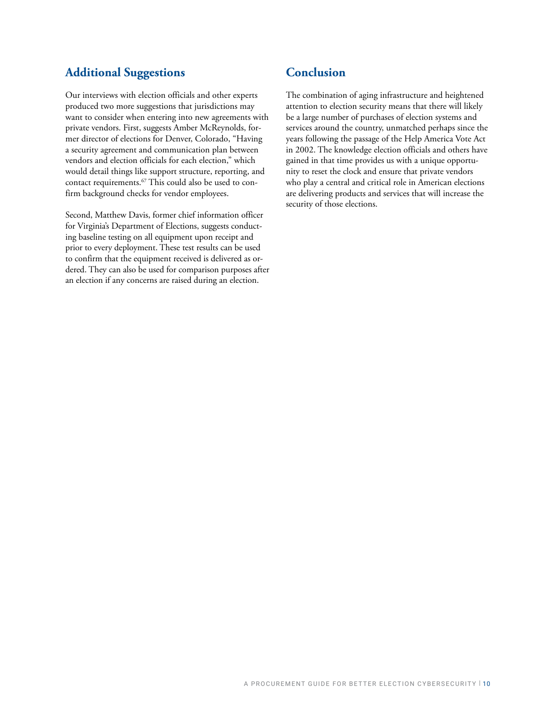# **Additional Suggestions**

Our interviews with election officials and other experts produced two more suggestions that jurisdictions may want to consider when entering into new agreements with private vendors. First, suggests Amber McReynolds, former director of elections for Denver, Colorado, "Having a security agreement and communication plan between vendors and election officials for each election," which would detail things like support structure, reporting, and contact requirements.67 This could also be used to confirm background checks for vendor employees.

Second, Matthew Davis, former chief information officer for Virginia's Department of Elections, suggests conducting baseline testing on all equipment upon receipt and prior to every deployment. These test results can be used to confirm that the equipment received is delivered as ordered. They can also be used for comparison purposes after an election if any concerns are raised during an election.

# **Conclusion**

The combination of aging infrastructure and heightened attention to election security means that there will likely be a large number of purchases of election systems and services around the country, unmatched perhaps since the years following the passage of the Help America Vote Act in 2002. The knowledge election officials and others have gained in that time provides us with a unique opportunity to reset the clock and ensure that private vendors who play a central and critical role in American elections are delivering products and services that will increase the security of those elections.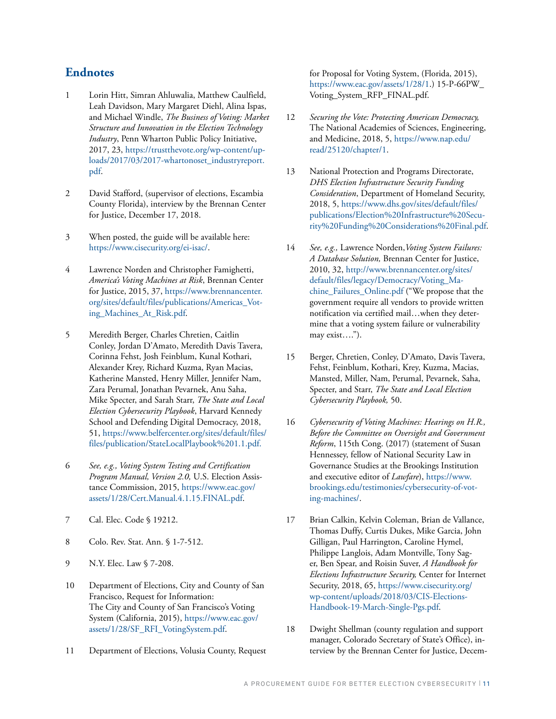### **Endnotes**

- 1 Lorin Hitt, Simran Ahluwalia, Matthew Caulfield, Leah Davidson, Mary Margaret Diehl, Alina Ispas, and Michael Windle, *The Business of Voting: Market Structure and Innovation in the Election Technology Industry*, Penn Wharton Public Policy Initiative, 2017, 23, [https://trustthevote.org/wp-content/up](https://trustthevote.org/wp-content/uploads/2017/03/2017-whartonoset_industryreport.pdf)[loads/2017/03/2017-whartonoset\\_industryreport.](https://trustthevote.org/wp-content/uploads/2017/03/2017-whartonoset_industryreport.pdf) [pdf.](https://trustthevote.org/wp-content/uploads/2017/03/2017-whartonoset_industryreport.pdf)
- 2 David Stafford, (supervisor of elections, Escambia County Florida), interview by the Brennan Center for Justice, December 17, 2018.
- 3 When posted, the guide will be available here: [https://www.cisecurity.org/ei-isac/.](https://www.cisecurity.org/ei-isac/)
- 4 Lawrence Norden and Christopher Famighetti, *America's Voting Machines at Risk*, Brennan Center for Justice, 2015, 37, [https://www.brennancenter.](https://www.brennancenter.org/sites/default/files/publications/Americas_Voting_Machines_At_Risk.pdf) [org/sites/default/files/publications/Americas\\_Vot](https://www.brennancenter.org/sites/default/files/publications/Americas_Voting_Machines_At_Risk.pdf)[ing\\_Machines\\_At\\_Risk.pdf](https://www.brennancenter.org/sites/default/files/publications/Americas_Voting_Machines_At_Risk.pdf).
- 5 Meredith Berger, Charles Chretien, Caitlin Conley, Jordan D'Amato, Meredith Davis Tavera, Corinna Fehst, Josh Feinblum, Kunal Kothari, Alexander Krey, Richard Kuzma, Ryan Macias, Katherine Mansted, Henry Miller, Jennifer Nam, Zara Perumal, Jonathan Pevarnek, Anu Saha, Mike Specter, and Sarah Starr, *The State and Local Election Cybersecurity Playbook*, Harvard Kennedy School and Defending Digital Democracy, 2018, 51, [https://www.belfercenter.org/sites/default/files/](https://www.belfercenter.org/sites/default/files/files/publication/StateLocalPlaybook%201.1.pdf) [files/publication/StateLocalPlaybook%201.1.pdf.](https://www.belfercenter.org/sites/default/files/files/publication/StateLocalPlaybook%201.1.pdf)
- 6 *See, e.g., Voting System Testing and Certification Program Manual, Version 2.0,* U.S. Election Assistance Commission, 2015, [https://www.eac.gov/](https://www.eac.gov/assets/1/28/Cert.Manual.4.1.15.FINAL.pdf) [assets/1/28/Cert.Manual.4.1.15.FINAL.pdf](https://www.eac.gov/assets/1/28/Cert.Manual.4.1.15.FINAL.pdf).
- 7 Cal. Elec. Code § 19212.
- 8 Colo. Rev. Stat. Ann. § 1-7-512.
- 9 N.Y. Elec. Law § 7-208.
- 10 Department of Elections, City and County of San Francisco, Request for Information: The City and County of San Francisco's Voting System (California, 2015), [https://www.eac.gov/](https://www.eac.gov/assets/1/28/SF_RFI_VotingSystem.pdf) [assets/1/28/SF\\_RFI\\_VotingSystem.pdf.](https://www.eac.gov/assets/1/28/SF_RFI_VotingSystem.pdf)
- 11 Department of Elections, Volusia County, Request

for Proposal for Voting System, (Florida, 2015), [https://www.eac.gov/assets/1/28/1.](https://www.eac.gov/assets/1/28/1)) 15-P-66PW\_ Voting\_System\_RFP\_FINAL.pdf.

- 12 *Securing the Vote: Protecting American Democracy,* The National Academies of Sciences, Engineering, and Medicine, 2018, 5, [https://www.nap.edu/](https://www.nap.edu/read/25120/chapter/1) [read/25120/chapter/1.](https://www.nap.edu/read/25120/chapter/1)
- 13 National Protection and Programs Directorate, *DHS Election Infrastructure Security Funding Consideration*, Department of Homeland Security, 2018, 5, [https://www.dhs.gov/sites/default/files/](https://www.dhs.gov/sites/default/files/publications/Election%20Infrastructure%20Security%20Funding%20Considerations%20Final.pdf) [publications/Election%20Infrastructure%20Secu](https://www.dhs.gov/sites/default/files/publications/Election%20Infrastructure%20Security%20Funding%20Considerations%20Final.pdf)[rity%20Funding%20Considerations%20Final.pdf.](https://www.dhs.gov/sites/default/files/publications/Election%20Infrastructure%20Security%20Funding%20Considerations%20Final.pdf)
- 14 *See, e.g.,* Lawrence Norden,*Voting System Failures: A Database Solution,* Brennan Center for Justice, 2010, 32, [http://www.brennancenter.org/sites/](http://www.brennancenter.org/sites/default/files/legacy/Democracy/Voting_Machine_Failures_Online.pdf) [default/files/legacy/Democracy/Voting\\_Ma](http://www.brennancenter.org/sites/default/files/legacy/Democracy/Voting_Machine_Failures_Online.pdf)[chine\\_Failures\\_Online.pdf](http://www.brennancenter.org/sites/default/files/legacy/Democracy/Voting_Machine_Failures_Online.pdf) ("We propose that the government require all vendors to provide written notification via certified mail…when they determine that a voting system failure or vulnerability may exist….").
- 15 Berger, Chretien, Conley, D'Amato, Davis Tavera, Fehst, Feinblum, Kothari, Krey, Kuzma, Macias, Mansted, Miller, Nam, Perumal, Pevarnek, Saha, Specter, and Starr, *The State and Local Election Cybersecurity Playbook,* 50.
- 16 *Cybersecurity of Voting Machines: Hearings on H.R., Before the Committee on Oversight and Government Reform*, 115th Cong. (2017) (statement of Susan Hennessey, fellow of National Security Law in Governance Studies at the Brookings Institution and executive editor of *Lawfare*), [https://www.](https://www.brookings.edu/testimonies/cybersecurity-of-voting-machines/) [brookings.edu/testimonies/cybersecurity-of-vot](https://www.brookings.edu/testimonies/cybersecurity-of-voting-machines/)[ing-machines/](https://www.brookings.edu/testimonies/cybersecurity-of-voting-machines/).
- 17 Brian Calkin, Kelvin Coleman, Brian de Vallance, Thomas Duffy, Curtis Dukes, Mike Garcia, John Gilligan, Paul Harrington, Caroline Hymel, Philippe Langlois, Adam Montville, Tony Sager, Ben Spear, and Roisin Suver, *A Handbook for Elections Infrastructure Security,* Center for Internet Security, 2018, 65, [https://www.cisecurity.org/](https://www.cisecurity.org/wp-content/uploads/2018/03/CIS-Elections-Handbook-19-March-Single-Pgs.pdf) [wp-content/uploads/2018/03/CIS-Elections-](https://www.cisecurity.org/wp-content/uploads/2018/03/CIS-Elections-Handbook-19-March-Single-Pgs.pdf)[Handbook-19-March-Single-Pgs.pdf](https://www.cisecurity.org/wp-content/uploads/2018/03/CIS-Elections-Handbook-19-March-Single-Pgs.pdf).
- 18 Dwight Shellman (county regulation and support manager, Colorado Secretary of State's Office), interview by the Brennan Center for Justice, Decem-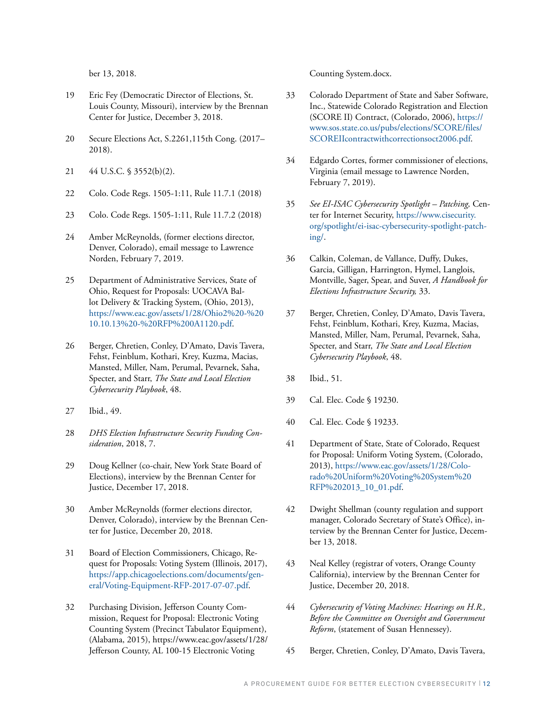ber 13, 2018.

- 19 Eric Fey (Democratic Director of Elections, St. Louis County, Missouri), interview by the Brennan Center for Justice, December 3, 2018.
- 20 Secure Elections Act, S.2261,115th Cong. (2017– 2018).
- 21 44 U.S.C. § 3552(b)(2).
- 22 Colo. Code Regs. 1505-1:11, Rule 11.7.1 (2018)
- 23 Colo. Code Regs. 1505-1:11, Rule 11.7.2 (2018)
- 24 Amber McReynolds, (former elections director, Denver, Colorado), email message to Lawrence Norden, February 7, 2019.
- 25 Department of Administrative Services, State of Ohio, Request for Proposals: UOCAVA Ballot Delivery & Tracking System, (Ohio, 2013), [https://www.eac.gov/assets/1/28/Ohio2%20-%20](https://www.eac.gov/assets/1/28/Ohio2%20-%2010.10.13%20-%20RFP%200A1120.pdf) [10.10.13%20-%20RFP%200A1120.pdf](https://www.eac.gov/assets/1/28/Ohio2%20-%2010.10.13%20-%20RFP%200A1120.pdf).
- 26 Berger, Chretien, Conley, D'Amato, Davis Tavera, Fehst, Feinblum, Kothari, Krey, Kuzma, Macias, Mansted, Miller, Nam, Perumal, Pevarnek, Saha, Specter, and Starr, *The State and Local Election Cybersecurity Playbook*, 48.
- 27 Ibid., 49.
- 28 *DHS Election Infrastructure Security Funding Consideration*, 2018, 7.
- 29 Doug Kellner (co-chair, New York State Board of Elections), interview by the Brennan Center for Justice, December 17, 2018.
- 30 Amber McReynolds (former elections director, Denver, Colorado), interview by the Brennan Center for Justice, December 20, 2018.
- 31 Board of Election Commissioners, Chicago, Request for Proposals: Voting System (Illinois, 2017), [https://app.chicagoelections.com/documents/gen](https://app.chicagoelections.com/documents/general/Voting-Equipment-RFP-2017-07-07.pdf)[eral/Voting-Equipment-RFP-2017-07-07.pdf](https://app.chicagoelections.com/documents/general/Voting-Equipment-RFP-2017-07-07.pdf).
- 32 Purchasing Division, Jefferson County Commission, Request for Proposal: Electronic Voting Counting System (Precinct Tabulator Equipment), (Alabama, 2015), [https://www.eac.gov/assets/1/28/](https://www.eac.gov/assets/1/28/Jefferson County, AL 100-15 Electronic Voting Counting System.docx) [Jefferson](https://www.eac.gov/assets/1/28/Jefferson County, AL 100-15 Electronic Voting Counting System.docx) County, AL 100-15 Electronic Voting

Counting System.docx.

- 33 Colorado Department of State and Saber Software, Inc., Statewide Colorado Registration and Election (SCORE II) Contract, (Colorado, 2006), [https://](https://www.sos.state.co.us/pubs/elections/SCORE/files/SCOREIIcontractwithcorrectionsoct2006.pdf) [www.sos.state.co.us/pubs/elections/SCORE/files/](https://www.sos.state.co.us/pubs/elections/SCORE/files/SCOREIIcontractwithcorrectionsoct2006.pdf) [SCOREIIcontractwithcorrectionsoct2006.pdf](https://www.sos.state.co.us/pubs/elections/SCORE/files/SCOREIIcontractwithcorrectionsoct2006.pdf).
- 34 Edgardo Cortes, former commissioner of elections, Virginia (email message to Lawrence Norden, February 7, 2019).
- 35 *See EI-ISAC Cybersecurity Spotlight Patching,* Center for Internet Security, [https://www.cisecurity.](https://www.cisecurity.org/spotlight/ei-isac-cybersecurity-spotlight-patching/) [org/spotlight/ei-isac-cybersecurity-spotlight-patch](https://www.cisecurity.org/spotlight/ei-isac-cybersecurity-spotlight-patching/)[ing/.](https://www.cisecurity.org/spotlight/ei-isac-cybersecurity-spotlight-patching/)
- 36 Calkin, Coleman, de Vallance, Duffy, Dukes, Garcia, Gilligan, Harrington, Hymel, Langlois, Montville, Sager, Spear, and Suver, *A Handbook for Elections Infrastructure Security,* 33.
- 37 Berger, Chretien, Conley, D'Amato, Davis Tavera, Fehst, Feinblum, Kothari, Krey, Kuzma, Macias, Mansted, Miller, Nam, Perumal, Pevarnek, Saha, Specter, and Starr, *The State and Local Election Cybersecurity Playbook*, 48.
- 38 Ibid., 51.
- 39 Cal. Elec. Code § 19230.
- 40 Cal. Elec. Code § 19233.
- 41 Department of State, State of Colorado, Request for Proposal: Uniform Voting System, (Colorado, 2013), [https://www.eac.gov/assets/1/28/Colo](https://www.eac.gov/assets/1/28/Colorado%20Uniform%20Voting%20System%20RFP%202013_10_01.pdf)[rado%20Uniform%20Voting%20System%20](https://www.eac.gov/assets/1/28/Colorado%20Uniform%20Voting%20System%20RFP%202013_10_01.pdf) [RFP%202013\\_10\\_01.pdf](https://www.eac.gov/assets/1/28/Colorado%20Uniform%20Voting%20System%20RFP%202013_10_01.pdf).
- 42 Dwight Shellman (county regulation and support manager, Colorado Secretary of State's Office), interview by the Brennan Center for Justice, December 13, 2018.
- 43 Neal Kelley (registrar of voters, Orange County California), interview by the Brennan Center for Justice, December 20, 2018.
- 44 *Cybersecurity of Voting Machines: Hearings on H.R., Before the Committee on Oversight and Government Reform*, (statement of Susan Hennessey).
- 45 Berger, Chretien, Conley, D'Amato, Davis Tavera,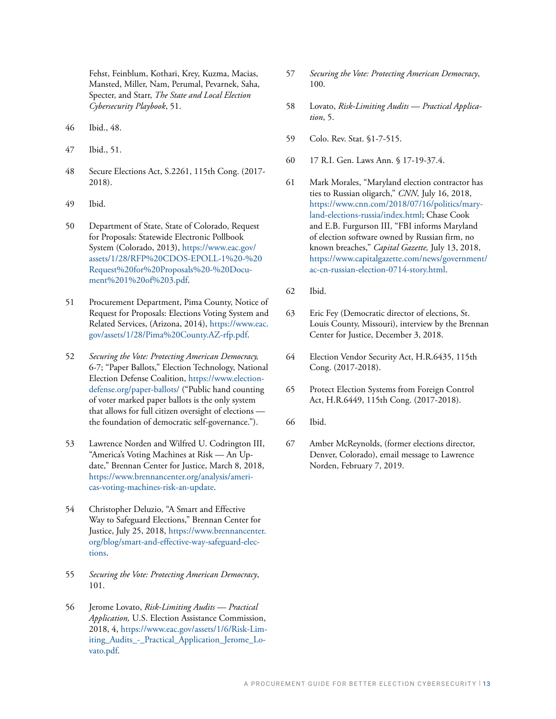Fehst, Feinblum, Kothari, Krey, Kuzma, Macias, Mansted, Miller, Nam, Perumal, Pevarnek, Saha, Specter, and Starr, *The State and Local Election Cybersecurity Playbook*, 51.

- 46 Ibid., 48.
- 47 Ibid., 51.
- 48 Secure Elections Act, S.2261, 115th Cong. (2017- 2018).
- 49 Ibid.
- 50 Department of State, State of Colorado, Request for Proposals: Statewide Electronic Pollbook System (Colorado, 2013), [https://www.eac.gov/](https://www.eac.gov/assets/1/28/RFP%20CDOS-EPOLL-1%20-%20Request%20for%20Proposals%20-%20Document%201%20of%203.pdf) [assets/1/28/RFP%20CDOS-EPOLL-1%20-%20](https://www.eac.gov/assets/1/28/RFP%20CDOS-EPOLL-1%20-%20Request%20for%20Proposals%20-%20Document%201%20of%203.pdf) [Request%20for%20Proposals%20-%20Docu](https://www.eac.gov/assets/1/28/RFP%20CDOS-EPOLL-1%20-%20Request%20for%20Proposals%20-%20Document%201%20of%203.pdf)[ment%201%20of%203.pdf.](https://www.eac.gov/assets/1/28/RFP%20CDOS-EPOLL-1%20-%20Request%20for%20Proposals%20-%20Document%201%20of%203.pdf)
- 51 Procurement Department, Pima County, Notice of Request for Proposals: Elections Voting System and Related Services, (Arizona, 2014), [https://www.eac.](https://www.eac.gov/assets/1/28/Pima%20County.AZ-rfp.pdf) [gov/assets/1/28/Pima%20County.AZ-rfp.pdf](https://www.eac.gov/assets/1/28/Pima%20County.AZ-rfp.pdf).
- 52 *Securing the Vote: Protecting American Democracy,* 6-7; "Paper Ballots," Election Technology, National Election Defense Coalition, [https://www.election](https://www.electiondefense.org/paper-ballots/)[defense.org/paper-ballots/](https://www.electiondefense.org/paper-ballots/) ("Public hand counting of voter marked paper ballots is the only system that allows for full citizen oversight of elections the foundation of democratic self-governance.").
- 53 Lawrence Norden and Wilfred U. Codrington III, "America's Voting Machines at Risk — An Update," Brennan Center for Justice, March 8, 2018, [https://www.brennancenter.org/analysis/ameri](https://www.brennancenter.org/analysis/americas-voting-machines-risk-an-update)[cas-voting-machines-risk-an-update](https://www.brennancenter.org/analysis/americas-voting-machines-risk-an-update).
- 54 Christopher Deluzio, "A Smart and Effective Way to Safeguard Elections," Brennan Center for Justice, July 25, 2018, [https://www.brennancenter.](https://www.brennancenter.org/blog/smart-and-effective-way-safeguard-elections) [org/blog/smart-and-effective-way-safeguard-elec](https://www.brennancenter.org/blog/smart-and-effective-way-safeguard-elections)[tions.](https://www.brennancenter.org/blog/smart-and-effective-way-safeguard-elections)
- 55 *Securing the Vote: Protecting American Democracy*, 101.
- 56 Jerome Lovato, *Risk-Limiting Audits* — *Practical Application,* U.S. Election Assistance Commission, 2018, 4, [https://www.eac.gov/assets/1/6/Risk-Lim](https://www.eac.gov/assets/1/6/Risk-Limiting_Audits_-_Practical_Application_Jerome_Lovato.pdf)[iting\\_Audits\\_-\\_Practical\\_Application\\_Jerome\\_Lo](https://www.eac.gov/assets/1/6/Risk-Limiting_Audits_-_Practical_Application_Jerome_Lovato.pdf)[vato.pdf](https://www.eac.gov/assets/1/6/Risk-Limiting_Audits_-_Practical_Application_Jerome_Lovato.pdf).
- 57 *Securing the Vote: Protecting American Democracy*, 100.
- 58 Lovato, *Risk-Limiting Audits* — *Practical Application*, 5.
- 59 Colo. Rev. Stat. §1-7-515.
- 60 17 R.I. Gen. Laws Ann. § 17-19-37.4.
- 61 Mark Morales, "Maryland election contractor has ties to Russian oligarch," *CNN,* July 16, 2018, [https://www.cnn.com/2018/07/16/politics/mary](https://www.cnn.com/2018/07/16/politics/maryland-elections-russia/index.html)[land-elections-russia/index.html;](https://www.cnn.com/2018/07/16/politics/maryland-elections-russia/index.html) Chase Cook and E.B. Furgurson III, "FBI informs Maryland of election software owned by Russian firm, no known breaches," *Capital Gazette,* July 13, 2018, [https://www.capitalgazette.com/news/government/](https://www.capitalgazette.com/news/government/ac-cn-russian-election-0714-story.html) [ac-cn-russian-election-0714-story.html.](https://www.capitalgazette.com/news/government/ac-cn-russian-election-0714-story.html)
- 62 Ibid.
- 63 Eric Fey (Democratic director of elections, St. Louis County, Missouri), interview by the Brennan Center for Justice, December 3, 2018.
- 64 Election Vendor Security Act, H.R.6435, 115th Cong. (2017-2018).
- 65 Protect Election Systems from Foreign Control Act, H.R.6449, 115th Cong. (2017-2018).
- 66 Ibid.
- 67 Amber McReynolds, (former elections director, Denver, Colorado), email message to Lawrence Norden, February 7, 2019.